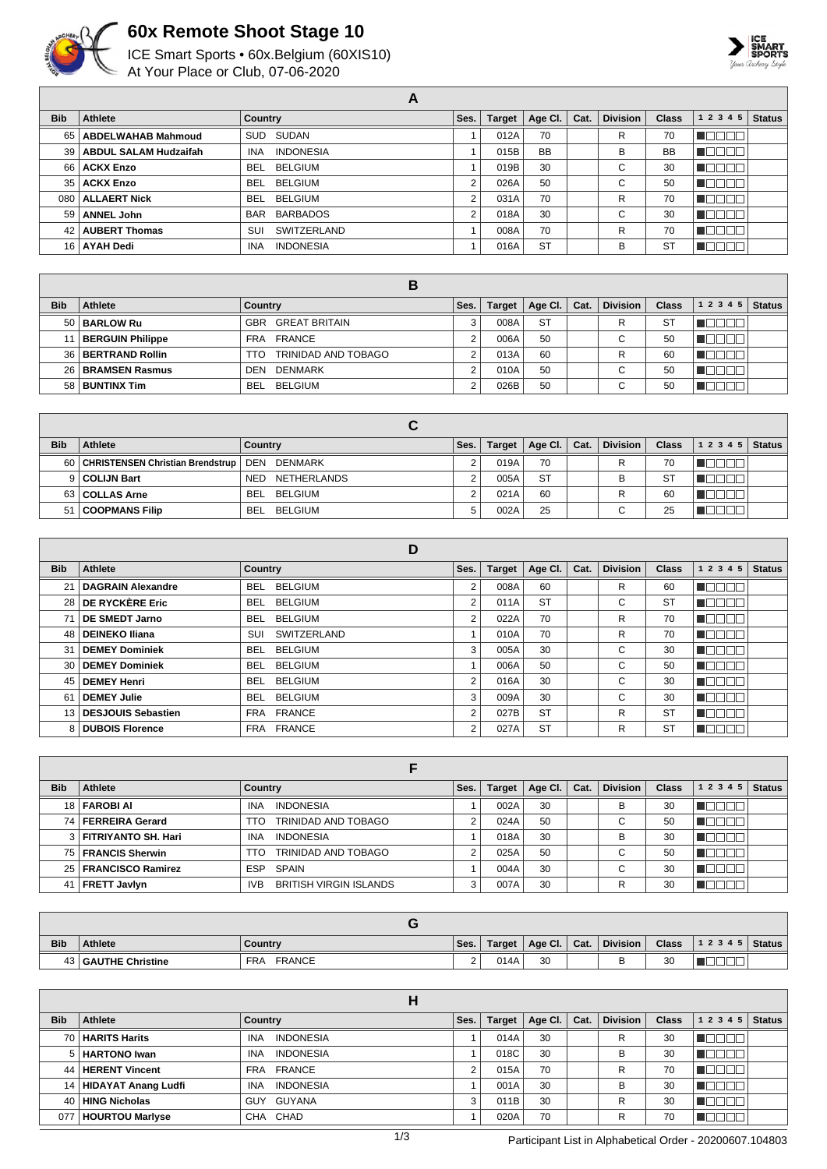

## **60x Remote Shoot Stage 10**

ICE Smart Sports • 60x.Belgium (60XIS10) At Your Place or Club, 07-06-2020



| A          |                              |                                |      |               |           |      |                 |              |           |               |  |
|------------|------------------------------|--------------------------------|------|---------------|-----------|------|-----------------|--------------|-----------|---------------|--|
| <b>Bib</b> | Athlete                      | <b>Country</b>                 | Ses. | <b>Target</b> | Age Cl.   | Cat. | <b>Division</b> | <b>Class</b> | 1 2 3 4 5 | <b>Status</b> |  |
| 65 l       | <b>ABDELWAHAB Mahmoud</b>    | SUD SUDAN                      |      | 012A          | 70        |      | R               | 70           |           |               |  |
| 39         | <b>ABDUL SALAM Hudzaifah</b> | <b>INDONESIA</b><br><b>INA</b> |      | 015B          | <b>BB</b> |      | в               | <b>BB</b>    |           |               |  |
| 66 l       | <b>ACKX Enzo</b>             | BELGIUM<br><b>BEL</b>          |      | 019B          | 30        |      | $\sim$<br>U     | 30           |           |               |  |
|            | 35   ACKX Enzo               | <b>BELGIUM</b><br><b>BEL</b>   | 2    | 026A          | 50        |      | $\sim$<br>◡     | 50           |           |               |  |
| 080        | <b>ALLAERT Nick</b>          | <b>BELGIUM</b><br><b>BEL</b>   | 2    | 031A          | 70        |      | R               | 70           |           |               |  |
| 59         | <b>ANNEL John</b>            | BARBADOS<br>BAR                | 2    | 018A          | 30        |      | $\sim$<br>U     | 30           |           |               |  |
| 42         | <b>AUBERT Thomas</b>         | SWITZERLAND<br>SUI             |      | 008A          | 70        |      | R               | 70           |           |               |  |
|            | 16 AYAH Dedi                 | <b>INDONESIA</b><br><b>INA</b> |      | 016A          | <b>ST</b> |      | В               | <b>ST</b>    |           |               |  |

| <b>Bib</b> | Athlete                 | Country                            | Ses. | <b>Target</b> | Age Cl. $ $ | Cat. | <b>Division</b> | Class | 1 2 3 4 5 | <b>Status</b> |
|------------|-------------------------|------------------------------------|------|---------------|-------------|------|-----------------|-------|-----------|---------------|
|            | 50   BARLOW Ru          | <b>GREAT BRITAIN</b><br><b>GBR</b> | 3    | 008A          | <b>ST</b>   |      | R               | S1    |           |               |
|            | <b>BERGUIN Philippe</b> | FRANCE<br>FRA                      | ⌒    | 006A          | 50          |      | $\sim$<br>◡     | 50    |           |               |
| 36         | <b>BERTRAND Rollin</b>  | TRINIDAD AND TOBAGO<br>TTO         | ⌒    | 013A          | 60          |      | R               | 60    |           |               |
| 26 I       | <b>BRAMSEN Rasmus</b>   | DENMARK<br><b>DEN</b>              | ⌒    | 010A          | 50          |      | $\sim$<br>v     | 50    |           |               |
|            | 58 BUNTINX Tim          | <b>BELGIUM</b><br><b>BEL</b>       |      | 026B          | 50          |      | ⌒<br>u          | 50    |           |               |

| <b>Bib</b> | <b>Athlete</b>                                      | Country                   | Ses. | Target | Age Cl. $ $ | Cat. | <b>Division</b>          | <b>Class</b> | 12345    | <b>Status</b> |
|------------|-----------------------------------------------------|---------------------------|------|--------|-------------|------|--------------------------|--------------|----------|---------------|
|            | 60   CHRISTENSEN Christian Brendstrup   DEN DENMARK |                           |      | 019A   | 70          |      | R                        | 70           | بالناكاك |               |
|            | 9 COLIJN Bart                                       | NETHERLANDS<br><b>NED</b> |      | 005A   | <b>ST</b>   |      | в                        | <b>ST</b>    | זרורר    |               |
|            | 63 COLLAS Arne                                      | BELGIUM<br>BEL.           |      | 021A   | 60          |      | R                        | 60           |          |               |
| 51         | <b>COOPMANS Filip</b>                               | BELGIUM<br><b>BEL</b>     | 5    | 002A   | 25          |      | $\overline{\phantom{0}}$ | 25           |          |               |

|            |                         | D                      |      |               |           |      |                 |              |           |               |
|------------|-------------------------|------------------------|------|---------------|-----------|------|-----------------|--------------|-----------|---------------|
| <b>Bib</b> | Athlete                 | Country                | Ses. | <b>Target</b> | Age Cl.   | Cat. | <b>Division</b> | <b>Class</b> | 1 2 3 4 5 | <b>Status</b> |
| 21         | DAGRAIN Alexandre       | <b>BELGIUM</b><br>BEL. | 2    | 008A          | 60        |      | R               | 60           | IOL       |               |
|            | 28 DE RYCKÈRE Eric      | BEL BELGIUM            | 2    | 011A          | <b>ST</b> |      | C               | <b>ST</b>    | HU L      |               |
|            | DE SMEDT Jarno          | <b>BELGIUM</b><br>BEL  | 2    | 022A          | 70        |      | R               | 70           | TEL       |               |
|            | 48   DEINEKO Iliana     | SWITZERLAND<br>SUI     |      | 010A          | 70        |      | R               | 70           | TE TE     |               |
| 31         | DEMEY Dominiek          | BEL BELGIUM            | 3    | 005A          | 30        |      | С               | 30           | - IL L    |               |
|            | 30   DEMEY Dominiek     | BEL BELGIUM            |      | 006A          | 50        |      | С               | 50           | Æ         |               |
|            | 45   DEMEY Henri        | BEL BELGIUM            | 2    | 016A          | 30        |      | С               | 30           | IOC       |               |
| 61         | DEMEY Julie             | <b>BEL BELGIUM</b>     | 3    | 009A          | 30        |      | C               | 30           | N E E C   |               |
|            | 13   DESJOUIS Sebastien | FRA FRANCE             | 2    | 027B          | <b>ST</b> |      | R               | <b>ST</b>    | NG D      |               |
|            | 8 DUBOIS Florence       | FRA FRANCE             | 2    | 027A          | <b>ST</b> |      | R               | <b>ST</b>    | ⊥         |               |

| <b>Bib</b> | <b>Athlete</b>          | <b>Country</b>                              | Ses.   | <b>Target</b> | Age Cl. | Cat. | <b>Division</b>               | <b>Class</b> | 1 2 3 4 5 | <b>Status</b> |
|------------|-------------------------|---------------------------------------------|--------|---------------|---------|------|-------------------------------|--------------|-----------|---------------|
|            | 18   FAROBI AI          | <b>INDONESIA</b><br><b>INA</b>              |        | 002A          | 30      |      | в                             | 30           |           |               |
| 74 I       | FERREIRA Gerard         | TRINIDAD AND TOBAGO<br>TTO                  | ີ      | 024A          | 50      |      | $\sim$<br>◡                   | 50           |           |               |
|            | 3   FITRIYANTO SH. Hari | <b>INDONESIA</b><br><b>INA</b>              |        | 018A          | 30      |      | B                             | 30           |           |               |
| 75 I       | <b>FRANCIS Sherwin</b>  | TRINIDAD AND TOBAGO<br>TTO                  | $\sim$ | 025A          | 50      |      | $\overline{\phantom{0}}$<br>U | 50           |           |               |
|            | 25   FRANCISCO Ramirez  | ESP SPAIN                                   |        | 004A          | 30      |      | $\sim$<br>U                   | 30           |           |               |
|            | 41   FRETT Javlyn       | <b>BRITISH VIRGIN ISLANDS</b><br><b>IVB</b> | 3      | 007A          | 30      |      | R                             | 30           |           |               |

| <b>Bib</b> | <b>Athlete</b>            | Country                     | Ses.               | Target | Age Cl. | Cat. | <b>Division</b> | <b>Class</b> | 12345    | Status I |
|------------|---------------------------|-----------------------------|--------------------|--------|---------|------|-----------------|--------------|----------|----------|
|            | <b>B</b> CAUTHE Christine | <b>FRANCE</b><br><b>FRA</b> | $\sim$<br><u>.</u> | 014A   | 30      |      |                 | 30           | _<br>___ |          |

| <b>Bib</b> | Athlete                  | Country                        | Ses. | <b>Target</b> | Age Cl. $\vert$ | Cat. | <b>Division</b> | <b>Class</b> | 1 2 3 4 5<br><b>Status</b> |
|------------|--------------------------|--------------------------------|------|---------------|-----------------|------|-----------------|--------------|----------------------------|
|            | 70   HARITS Harits       | <b>INDONESIA</b><br><b>INA</b> |      | 014A          | 30              |      | R               | 30           |                            |
|            | 5   HARTONO Iwan         | <b>INDONESIA</b><br><b>INA</b> |      | 018C          | 30              |      | B               | 30           | $\mathbb{R}$               |
|            | 44   HERENT Vincent      | FRA FRANCE                     |      | 015A          | 70              |      | R               | 70           |                            |
|            | 14   HIDAYAT Anang Ludfi | <b>INDONESIA</b><br><b>INA</b> |      | 001A          | 30              |      | B               | 30           | $\Box$                     |
| 40         | <b>HING Nicholas</b>     | GUY GUYANA                     |      | 011B          | 30              |      | R               | 30           |                            |
| 077        | <b>HOURTOU Marlyse</b>   | CHA CHAD                       |      | 020A          | 70              |      | R               | 70           |                            |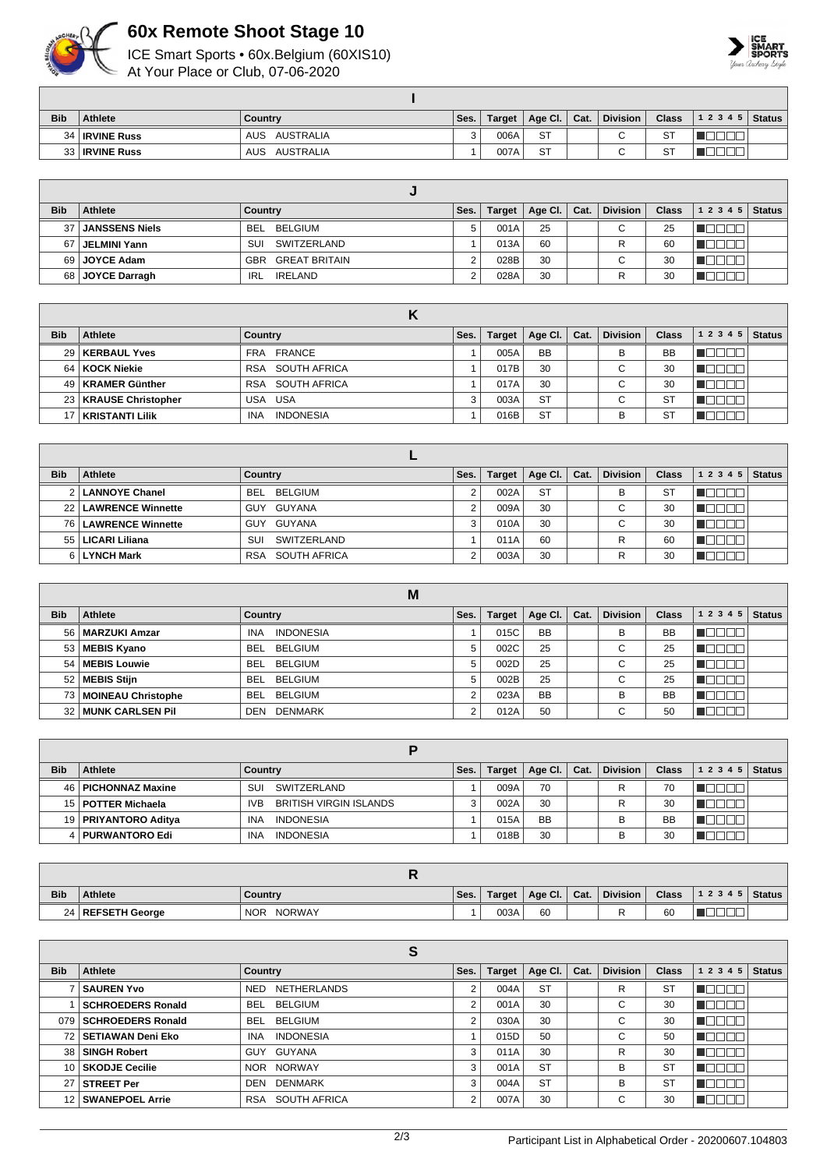

## **60x Remote Shoot Stage 10**

ICE Smart Sports • 60x.Belgium (60XIS10) At Your Place or Club, 07-06-2020



| <b>Bib</b> | Athlete               | Country          | Ses. | Target | Age Cl. $ $ | Cat. | <b>Division</b> | <b>Class</b> | $12345$ Status |  |
|------------|-----------------------|------------------|------|--------|-------------|------|-----------------|--------------|----------------|--|
|            | 34   IRVINE Russ      | AUSTRALIA<br>AUS |      | 006A   | <b>ST</b>   |      | $\sim$          | <b>ST</b>    |                |  |
|            | 33 <b>IRVINE Russ</b> | AUSTRALIA<br>AUS |      | 007A   | ST          |      |                 | ST           |                |  |

| <b>Bib</b>      | Athlete               | Country               | Ses. | Target | Age Cl. $\vert$ Cat. | <b>Division</b>               | <b>Class</b> | 1 2 3 4 5 | <b>Status</b> |
|-----------------|-----------------------|-----------------------|------|--------|----------------------|-------------------------------|--------------|-----------|---------------|
| 37 <sup>1</sup> | <b>JANSSENS Niels</b> | BEL BELGIUM           |      | 001A   | 25                   | $\sim$<br>◡                   | 25           |           |               |
| 67              | JELMINI Yann          | SUI<br>SWITZERLAND    |      | 013A   | 60                   | R                             | 60           |           |               |
|                 | 69   JOYCE Adam       | GREAT BRITAIN<br>GBR  |      | 028B   | 30                   | $\overline{\phantom{0}}$<br>◡ | 30           |           |               |
|                 | 68 JOYCE Darragh      | <b>IRELAND</b><br>IRL |      | 028A   | 30                   |                               | 30           |           |               |

| <b>Bib</b> | <b>Athlete</b>          | Country                        | Ses. | <b>Target</b> | Age CI.   | Cat. | <b>Division</b> | Class          | 12345 | <b>Status</b> |
|------------|-------------------------|--------------------------------|------|---------------|-----------|------|-----------------|----------------|-------|---------------|
|            | 29   KERBAUL Yves       | FRANCE<br>FRA                  |      | 005A          | <b>BB</b> |      | В               | <b>BB</b>      |       |               |
|            | 64   KOCK Niekie        | RSA SOUTH AFRICA               |      | 017B          | 30        |      | $\sim$<br>◡     | 30             |       |               |
|            | 49   KRAMER Günther     | RSA SOUTH AFRICA               |      | 017A          | 30        |      | $\sim$<br>◡     | 30             | ப     |               |
|            | 23   KRAUSE Christopher | USA USA                        | 3    | 003A          | <b>ST</b> |      | $\sim$<br>◡     | S1             |       |               |
|            | KRISTANTI Lilik         | <b>INDONESIA</b><br><b>INA</b> |      | 016B          | <b>ST</b> |      | В               | S <sup>-</sup> |       |               |

| <b>Bib</b> | Athlete                | Country                    | Ses. | <b>Target</b> | Age Cl.   | Cat. | <b>Division</b> | <b>Class</b> | 1 2 3 4 5 | <b>Status</b> |
|------------|------------------------|----------------------------|------|---------------|-----------|------|-----------------|--------------|-----------|---------------|
|            | 2   LANNOYE Chanel     | BEL<br>BELGIUM             |      | 002A          | <b>ST</b> |      | в               | <b>ST</b>    |           |               |
|            | 22   LAWRENCE Winnette | GUY GUYANA                 |      | 009A          | 30        |      | ⌒<br>U          | 30           |           |               |
|            | 76   LAWRENCE Winnette | GUYANA<br>GUY              | 3    | 010A          | 30        |      | ⌒<br>U          | 30           |           |               |
| 551        | LICARI Liliana         | SWITZERLAND<br>SUI         |      | 011A          | 60        |      | R               | 60           |           |               |
|            | 6 LYNCH Mark           | SOUTH AFRICA<br><b>RSA</b> | ⌒    | 003A          | 30        |      | R               | 30           |           |               |

|            |                            | M                              |        |               |           |      |                 |              |              |               |
|------------|----------------------------|--------------------------------|--------|---------------|-----------|------|-----------------|--------------|--------------|---------------|
| <b>Bib</b> | Athlete                    | <b>Country</b>                 | Ses.   | <b>Target</b> | Age CI.   | Cat. | <b>Division</b> | <b>Class</b> | 1 2 3 4 5    | <b>Status</b> |
|            | 56   MARZUKI Amzar         | <b>INDONESIA</b><br><b>INA</b> |        | 015C          | <b>BB</b> |      | B               | <b>BB</b>    | .            |               |
|            | 53   MEBIS Kyano           | BEL BELGIUM                    | 5      | 002C          | 25        |      | $\sim$<br>◡     | 25           |              |               |
| 54         | MEBIS Louwie               | BEL BELGIUM                    | 5      | 002D          | 25        |      | $\sim$<br>U     | 25           |              |               |
|            | 52 MEBIS Stijn             | BEL BELGIUM                    | 5      | 002B          | 25        |      | $\sim$<br>U     | 25           | $\mathbf{H}$ |               |
|            | 73   MOINEAU Christophe    | <b>BELGIUM</b><br>BEL          | $\sim$ | 023A          | <b>BB</b> |      | B               | <b>BB</b>    |              |               |
|            | <b>32 MUNK CARLSEN PIL</b> | <b>DENMARK</b><br>DEN          |        | 012A          | 50        |      | ⌒<br>U          | 50           |              |               |

| <b>Bib</b> | <b>Athlete</b>         | Countrv                                     | Ses. | <b>Target</b> | Age Cl. $\vert$ | Cat. | <b>Division</b> | <b>Class</b> | 1 2 3 4 5 | <b>Status</b> |
|------------|------------------------|---------------------------------------------|------|---------------|-----------------|------|-----------------|--------------|-----------|---------------|
|            | 46   PICHONNAZ Maxine  | SWITZERLAND<br>SUI                          |      | 009A          | 70              |      | R               | 70           |           |               |
|            | 15   POTTER Michaela   | <b>BRITISH VIRGIN ISLANDS</b><br><b>IVB</b> |      | 002A          | 30              |      | R               | 30           |           |               |
|            | 19   PRIYANTORO Aditya | <b>INDONESIA</b><br>INA                     |      | 015A          | <b>BB</b>       |      | в               | <b>BB</b>    |           |               |
|            | 4   PURWANTORO Edi     | <b>INDONESIA</b><br><b>INA</b>              |      | 018B          | 30              |      | В               | 30           |           |               |

| <b>Bib</b> | <b>Athlete</b>      | Country                     | Ses. | Target | $^{\circ}$ Age Cl. | Cat. | <b>Division</b> | <b>Class</b> | 12345 | Status |
|------------|---------------------|-----------------------------|------|--------|--------------------|------|-----------------|--------------|-------|--------|
|            | 24   REFSETH George | <b>NORWAY</b><br><b>NOR</b> |      | 003A   | 60                 |      |                 | 60           |       |        |

| <b>Bib</b> | Athlete                  | Country                        | Ses. | <b>Target</b> | Age CI.   | Cat. | <b>Division</b> | <b>Class</b> | 1 2 3 4 5 | <b>Status</b> |
|------------|--------------------------|--------------------------------|------|---------------|-----------|------|-----------------|--------------|-----------|---------------|
|            | <b>SAUREN Yvo</b>        | NED<br>NETHERLANDS             |      | 004A          | <b>ST</b> |      | R               | <b>ST</b>    |           |               |
|            | <b>SCHROEDERS Ronald</b> | <b>BELGIUM</b><br><b>BEL</b>   | ◠    | 001A          | 30        |      | ⌒<br>U          | 30           |           |               |
|            | 079   SCHROEDERS Ronald  | <b>BEL</b><br>BELGIUM          | ◠    | 030A          | 30        |      | $\sim$<br>U     | 30           |           |               |
|            | 72   SETIAWAN Deni Eko   | <b>INDONESIA</b><br><b>INA</b> |      | 015D          | 50        |      | $\sim$<br>U     | 50           |           |               |
| 38 l       | <b>SINGH Robert</b>      | GUYANA<br>GUY                  | 3    | 011A          | 30        |      | R               | 30           |           |               |
|            | 10   SKODJE Cecilie      | NOR NORWAY                     | 3    | 001A          | <b>ST</b> |      | в               | <b>ST</b>    |           |               |
| 27         | <b>STREET Per</b>        | <b>DENMARK</b><br>DEN          | Э    | 004A          | <b>ST</b> |      | В               | <b>ST</b>    |           |               |
|            | 12   SWANEPOEL Arrie     | <b>SOUTH AFRICA</b><br>RSA     | ◠    | 007A          | 30        |      | $\sim$<br>U     | 30           |           |               |